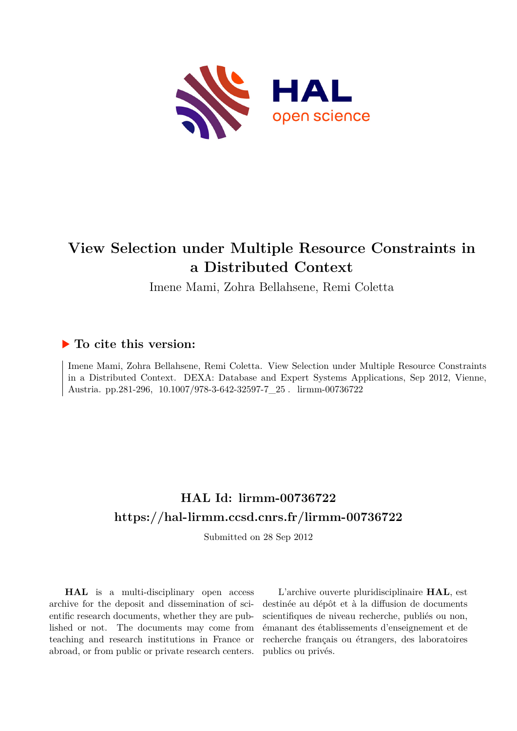

# **View Selection under Multiple Resource Constraints in a Distributed Context**

Imene Mami, Zohra Bellahsene, Remi Coletta

# **To cite this version:**

Imene Mami, Zohra Bellahsene, Remi Coletta. View Selection under Multiple Resource Constraints in a Distributed Context. DEXA: Database and Expert Systems Applications, Sep 2012, Vienne, Austria. pp.281-296, 10.1007/978-3-642-32597-7\_25. limm-00736722

# **HAL Id: lirmm-00736722 <https://hal-lirmm.ccsd.cnrs.fr/lirmm-00736722>**

Submitted on 28 Sep 2012

**HAL** is a multi-disciplinary open access archive for the deposit and dissemination of scientific research documents, whether they are published or not. The documents may come from teaching and research institutions in France or abroad, or from public or private research centers.

L'archive ouverte pluridisciplinaire **HAL**, est destinée au dépôt et à la diffusion de documents scientifiques de niveau recherche, publiés ou non, émanant des établissements d'enseignement et de recherche français ou étrangers, des laboratoires publics ou privés.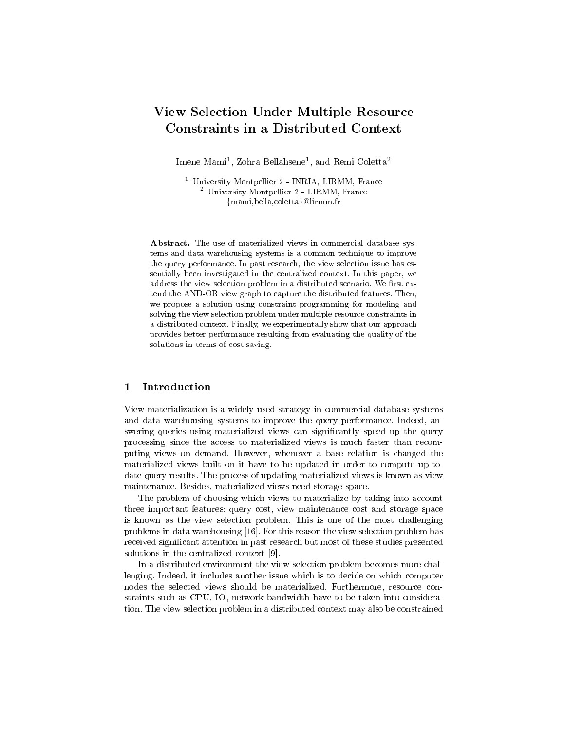# View Selection Under Multiple Resource Constraints in a Distributed Context

 $\rm{Imene~Mami^1,~Zohra~Bellahsene^1,~and~Remi~Coletta^2}$ 

<sup>1</sup> University Montpellier 2 - INRIA, LIRMM, France <sup>2</sup> University Montpellier 2 - LIRMM, France {mami,bella,coletta}@lirmm.fr

Abstract. The use of materialized views in commercial database systems and data warehousing systems is a common technique to improve the query performance. In past research, the view selection issue has essentially been investigated in the centralized context. In this paper, we address the view selection problem in a distributed scenario. We first extend the AND-OR view graph to capture the distributed features. Then, we propose a solution using constraint programming for modeling and solving the view selection problem under multiple resource constraints in a distributed context. Finally, we experimentally show that our approach provides better performance resulting from evaluating the quality of the solutions in terms of cost saving.

## 1 Introduction

View materialization is a widely used strategy in commercial database systems and data warehousing systems to improve the query performance. Indeed, answering queries using materialized views can significantly speed up the query processing since the access to materialized views is much faster than recomputing views on demand. However, whenever a base relation is changed the materialized views built on it have to be updated in order to compute up-todate query results. The process of updating materialized views is known as view maintenance. Besides, materialized views need storage space.

The problem of choosing which views to materialize by taking into account three important features: query cost, view maintenance cost and storage space is known as the view selection problem. This is one of the most challenging problems in data warehousing [16]. For this reason the view selection problem has received significant attention in past research but most of these studies presented solutions in the centralized context [9].

In a distributed environment the view selection problem becomes more challenging. Indeed, it includes another issue which is to decide on which computer nodes the selected views should be materialized. Furthermore, resource constraints such as CPU, IO, network bandwidth have to be taken into consideration. The view selection problem in a distributed context may also be constrained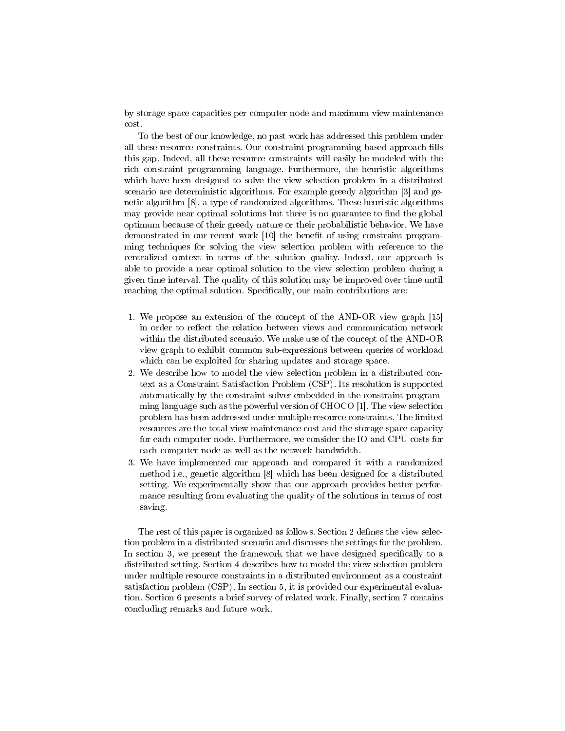by storage space capacities per computer node and maximum view maintenance cost.

To the best of our knowledge, no past work has addressed this problem under all these resource constraints. Our constraint programming based approach fills this gap. Indeed, all these resource constraints will easily be modeled with the rich constraint programming language. Furthermore, the heuristic algorithms which have been designed to solve the view selection problem in a distributed scenario are deterministic algorithms. For example greedy algorithm [3] and genetic algorithm [8], a type of randomized algorithms. These heuristic algorithms may provide near optimal solutions but there is no guarantee to find the global optimum because of their greedy nature or their probabilistic behavior. We have demonstrated in our recent work [10] the benefit of using constraint programming techniques for solving the view selection problem with reference to the centralized context in terms of the solution quality. Indeed, our approach is able to provide a near optimal solution to the view selection problem during a given time interval. The quality of this solution may be improved over time until reaching the optimal solution. Specifically, our main contributions are:

- 1. We propose an extension of the concept of the AND-OR view graph [15] in order to reflect the relation between views and communication network within the distributed scenario. We make use of the concept of the AND-OR view graph to exhibit common sub-expressions between queries of workload which can be exploited for sharing updates and storage space.
- 2. We describe how to model the view selection problem in a distributed context as a Constraint Satisfaction Problem (CSP). Its resolution is supported automatically by the constraint solver embedded in the constraint programming language such as the powerful version of CHOCO [1]. The view selection problem has been addressed under multiple resource constraints. The limited resources are the total view maintenance cost and the storage space capacity for each computer node. Furthermore, we consider the IO and CPU costs for each computer node as well as the network bandwidth.
- 3. We have implemented our approach and compared it with a randomized method i.e., genetic algorithm [8] which has been designed for a distributed setting. We experimentally show that our approach provides better performance resulting from evaluating the quality of the solutions in terms of cost saving.

The rest of this paper is organized as follows. Section 2 defines the view selection problem in a distributed scenario and discusses the settings for the problem. In section 3, we present the framework that we have designed specifically to a distributed setting. Section 4 describes how to model the view selection problem under multiple resource constraints in a distributed environment as a constraint satisfaction problem (CSP). In section 5, it is provided our experimental evaluation. Section 6 presents a brief survey of related work. Finally, section 7 contains concluding remarks and future work.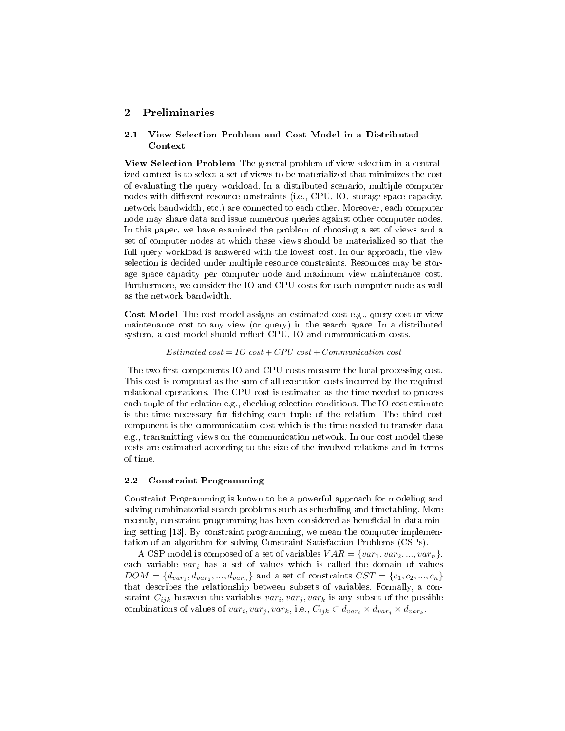# 2 Preliminaries

### 2.1 View Selection Problem and Cost Model in a Distributed Context

View Selection Problem The general problem of view selection in a centralized context is to select a set of views to be materialized that minimizes the cost of evaluating the query workload. In a distributed scenario, multiple computer nodes with different resource constraints (i.e., CPU, IO, storage space capacity, network bandwidth, etc.) are connected to each other. Moreover, each computer node may share data and issue numerous queries against other computer nodes. In this paper, we have examined the problem of choosing a set of views and a set of computer nodes at which these views should be materialized so that the full query workload is answered with the lowest cost. In our approach, the view selection is decided under multiple resource constraints. Resources may be storage space capacity per computer node and maximum view maintenance cost. Furthermore, we consider the IO and CPU costs for each computer node as well as the network bandwidth.

Cost Model The cost model assigns an estimated cost e.g., query cost or view maintenance cost to any view (or query) in the search space. In a distributed system, a cost model should reflect CPU, IO and communication costs.

Estimated  $cost = IO cost + CPU cost + Communication cost$ 

The two first components IO and CPU costs measure the local processing cost. This cost is computed as the sum of all execution costs incurred by the required relational operations. The CPU cost is estimated as the time needed to process each tuple of the relation e.g., checking selection conditions. The IO cost estimate is the time necessary for fetching each tuple of the relation. The third cost component is the communication cost which is the time needed to transfer data e.g., transmitting views on the communication network. In our cost model these costs are estimated according to the size of the involved relations and in terms of time.

#### 2.2 Constraint Programming

Constraint Programming is known to be a powerful approach for modeling and solving combinatorial search problems such as scheduling and timetabling. More recently, constraint programming has been considered as beneficial in data mining setting [13]. By constraint programming, we mean the computer implementation of an algorithm for solving Constraint Satisfaction Problems (CSPs).

A CSP model is composed of a set of variables  $VAR = \{var_1, var_2, ..., var_n\},\$ each variable  $var_i$  has a set of values which is called the domain of values  $DOM = \{d_{var_1}, d_{var_2}, ..., d_{var_n}\}$  and a set of constraints  $CSI = \{c_1, c_2, ..., c_n\}$ that describes the relationship between subsets of variables. Formally, a constraint  $C_{ijk}$  between the variables  $var_i, var_j, var_k$  is any subset of the possible combinations of values of  $var_i, var_j, var_k$ , i.e.,  $C_{ijk} \subset d_{var_i} \times d_{var_j} \times d_{var_k}$ .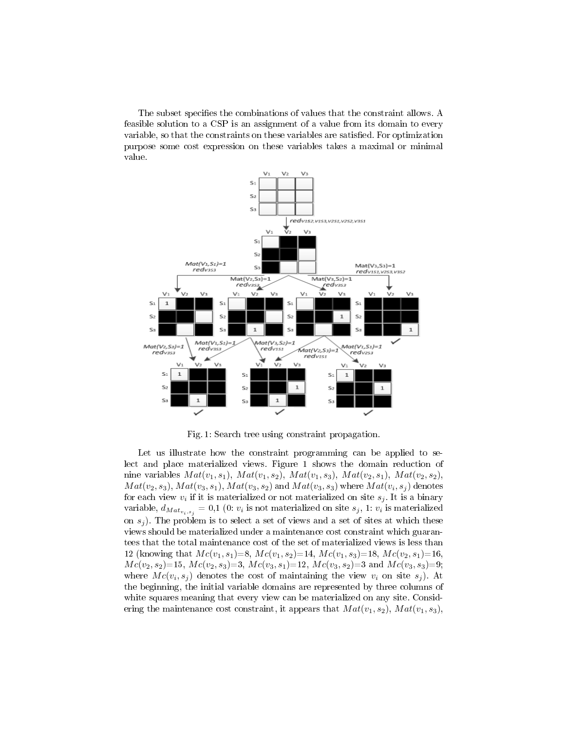The subset specifies the combinations of values that the constraint allows. A feasible solution to a CSP is an assignment of a value from its domain to every variable, so that the constraints on these variables are satisfied. For optimization purpose some cost expression on these variables takes a maximal or minimal value.



Fig. 1: Search tree using constraint propagation.

Let us illustrate how the constraint programming can be applied to select and place materialized views. Figure 1 shows the domain reduction of nine variables  $Mat(v_1, s_1)$ ,  $Mat(v_1, s_2)$ ,  $Mat(v_1, s_3)$ ,  $Mat(v_2, s_1)$ ,  $Mat(v_2, s_2)$ ,  $Mat(v_2,s_3), Mat(v_3,s_1), Mat(v_3,s_2)$  and  $Mat(v_3,s_3)$  where  $Mat(v_i,s_j)$  denotes for each view  $v_i$  if it is materialized or not materialized on site  $s_j$ . It is a binary variable,  $d_{Mat_{v_i, s_j}} = 0,$ 1 (0:  $v_i$  is not materialized on site  $s_j,$  1:  $v_i$  is materialized on  $s_i$ ). The problem is to select a set of views and a set of sites at which these views should be materialized under a maintenance cost constraint which guarantees that the total maintenance cost of the set of materialized views is less than 12 (knowing that  $Mc(v_1, s_1)=8$ ,  $Mc(v_1, s_2)=14$ ,  $Mc(v_1, s_3)=18$ ,  $Mc(v_2, s_1)=16$ ,  $Mc(v_2, s_2)=15,$   $Mc(v_2, s_3)=3,$   $Mc(v_3, s_1)=12,$   $Mc(v_3, s_2)=3$  and  $Mc(v_3, s_3)=9;$ where  $Mc(v_i, s_j)$  denotes the cost of maintaining the view  $v_i$  on site  $s_j$ ). At the beginning, the initial variable domains are represented by three columns of white squares meaning that every view can be materialized on any site. Considering the maintenance cost constraint, it appears that  $Mat(v_1, s_2)$ ,  $Mat(v_1, s_3)$ ,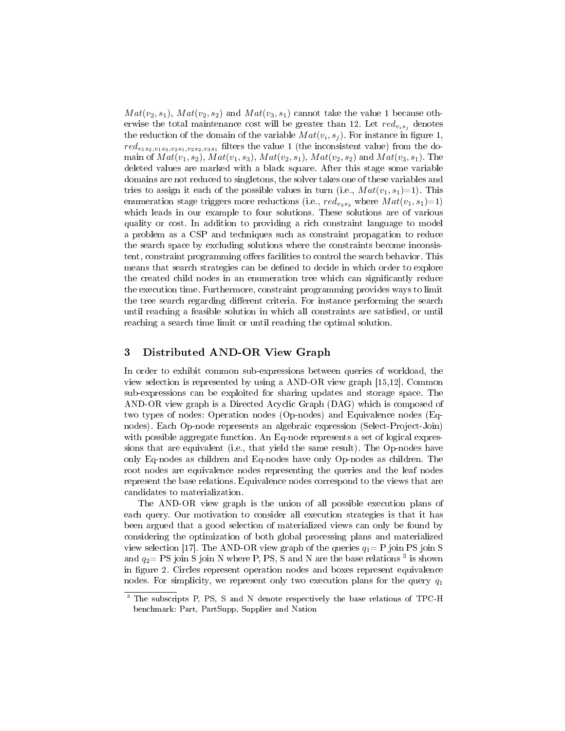$Mat(v_2, s_1)$ ,  $Mat(v_2, s_2)$  and  $Mat(v_3, s_1)$  cannot take the value 1 because otherwise the total maintenance cost will be greater than 12. Let  $red_{v_i s_i}$  denotes the reduction of the domain of the variable  $\mathit{Mat}(v_i,s_j).$  For instance in figure 1,  $red_{v_1s_2,v_1s_3,v_2s_1,v_2s_2,v_3s_1}$  filters the value 1 (the inconsistent value) from the domain of  $Mat(v_1, s_2)$ ,  $Mat(v_1, s_3)$ ,  $Mat(v_2, s_1)$ ,  $Mat(v_2, s_2)$  and  $Mat(v_3, s_1)$ . The deleted values are marked with a black square. After this stage some variable domains are not reduced to singletons, the solver takes one of these variables and tries to assign it each of the possible values in turn (i.e.,  $Mat(v_1, s_1)=1$ ). This enumeration stage triggers more reductions (i.e.,  $red_{v_3s_3}$  where  $Mat(v_1, s_1)=1$ ) which leads in our example to four solutions. These solutions are of various quality or cost. In addition to providing a rich constraint language to model a problem as a CSP and techniques such as constraint propagation to reduce the search space by excluding solutions where the constraints become inconsistent, constraint programming offers facilities to control the search behavior. This means that search strategies can be defined to decide in which order to explore the created child nodes in an enumeration tree which can signicantly reduce the execution time. Furthermore, constraint programming provides ways to limit the tree search regarding different criteria. For instance performing the search until reaching a feasible solution in which all constraints are satisfied, or until reaching a search time limit or until reaching the optimal solution.

# 3 Distributed AND-OR View Graph

In order to exhibit common sub-expressions between queries of workload, the view selection is represented by using a AND-OR view graph [15,12]. Common sub-expressions can be exploited for sharing updates and storage space. The AND-OR view graph is a Directed Acyclic Graph (DAG) which is composed of two types of nodes: Operation nodes (Op-nodes) and Equivalence nodes (Eqnodes). Each Op-node represents an algebraic expression (Select-Project-Join) with possible aggregate function. An Eq-node represents a set of logical expressions that are equivalent (i.e., that yield the same result). The Op-nodes have only Eq-nodes as children and Eq-nodes have only Op-nodes as children. The root nodes are equivalence nodes representing the queries and the leaf nodes represent the base relations. Equivalence nodes correspond to the views that are candidates to materialization.

The AND-OR view graph is the union of all possible execution plans of each query. Our motivation to consider all execution strategies is that it has been argued that a good selection of materialized views can only be found by considering the optimization of both global processing plans and materialized view selection [17]. The AND-OR view graph of the queries  $q_1 = P$  join PS join S and  $q_2$  = PS join S join N where P, PS, S and N are the base relations <sup>3</sup> is shown in figure 2. Circles represent operation nodes and boxes represent equivalence nodes. For simplicity, we represent only two execution plans for the query  $q_1$ 

<sup>3</sup> The subscripts P, PS, S and N denote respectively the base relations of TPC-H benchmark: Part, PartSupp, Supplier and Nation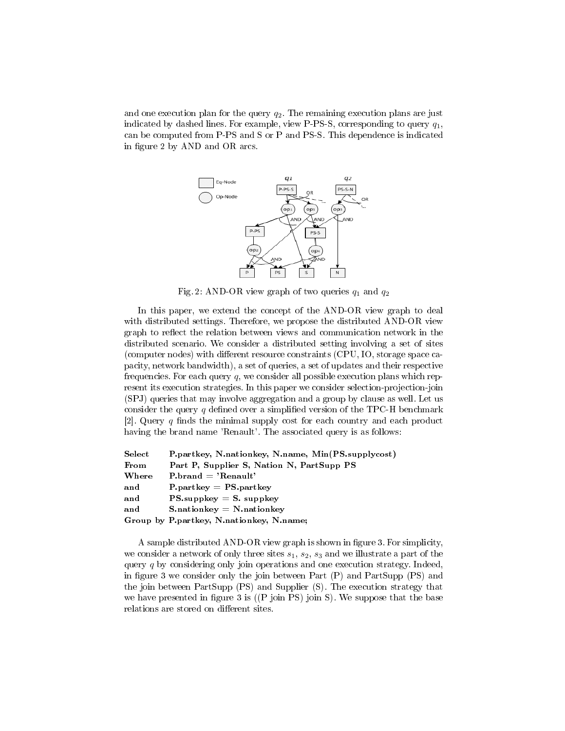and one execution plan for the query  $q_2$ . The remaining execution plans are just indicated by dashed lines. For example, view P-PS-S, corresponding to query  $q_1$ , can be computed from P-PS and S or P and PS-S. This dependence is indicated in figure 2 by AND and OR arcs.



Fig. 2: AND-OR view graph of two queries  $q_1$  and  $q_2$ 

In this paper, we extend the concept of the AND-OR view graph to deal with distributed settings. Therefore, we propose the distributed AND-OR view graph to reflect the relation between views and communication network in the distributed scenario. We consider a distributed setting involving a set of sites (computer nodes) with different resource constraints (CPU, IO, storage space capacity, network bandwidth), a set of queries, a set of updates and their respective frequencies. For each query  $q$ , we consider all possible execution plans which represent its execution strategies. In this paper we consider selection-projection-join (SPJ) queries that may involve aggregation and a group by clause as well. Let us consider the query  $q$  defined over a simplified version of the TPC-H benchmark [2]. Query  $q$  finds the minimal supply cost for each country and each product having the brand name 'Renault'. The associated query is as follows:

| Select | P.partkey, N.nationkey, N.name, Min(PS.supplycost) |
|--------|----------------------------------------------------|
| From   | Part P, Supplier S, Nation N, PartSupp PS          |
| Where  | $P.brand = 'Renault'$                              |
| and    | $P$ partkey = PS partkey                           |
| and    | $PS$ . suppkey = S. suppkey                        |
| and    | $S.$ nationkey = N.nationkey                       |
|        | Group by P.partkey, N.nationkey, N.name;           |
|        |                                                    |

A sample distributed AND-OR view graph is shown in figure 3. For simplicity, we consider a network of only three sites  $s_1$ ,  $s_2$ ,  $s_3$  and we illustrate a part of the query q by considering only join operations and one execution strategy. Indeed, in figure 3 we consider only the join between Part  $(P)$  and PartSupp  $(PS)$  and the join between PartSupp (PS) and Supplier (S). The execution strategy that we have presented in figure  $3$  is ((P join PS) join S). We suppose that the base relations are stored on different sites.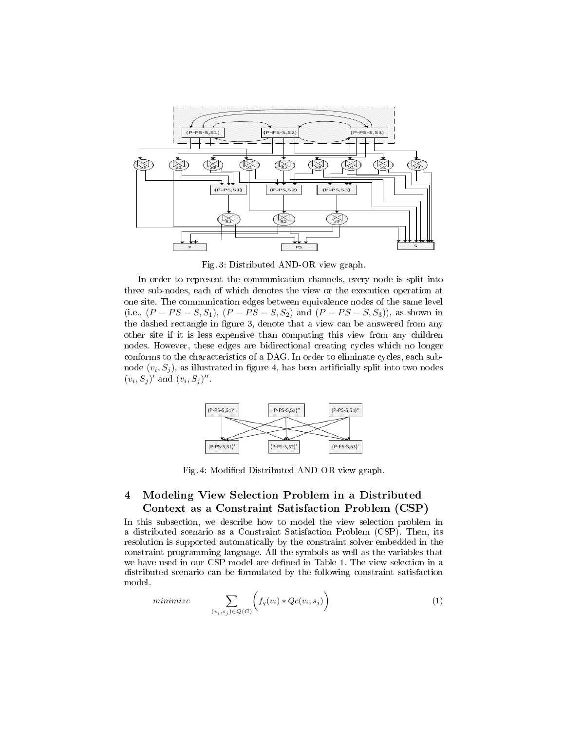

Fig. 3: Distributed AND-OR view graph.

In order to represent the communication channels, every node is split into three sub-nodes, each of which denotes the view or the execution operation at one site. The communication edges between equivalence nodes of the same level (i.e.,  $(P - PS - S, S_1)$ ,  $(P - PS - S, S_2)$  and  $(P - PS - S, S_3)$ ), as shown in the dashed rectangle in figure 3, denote that a view can be answered from any other site if it is less expensive than computing this view from any children nodes. However, these edges are bidirectional creating cycles which no longer conforms to the characteristics of a DAG. In order to eliminate cycles, each subnode  $(v_i,S_j),$  as illustrated in figure 4, has been artificially split into two nodes  $(v_i, S_j)'$  and  $(v_i, S_j)'$ .



Fig. 4: Modied Distributed AND-OR view graph.

# 4 Modeling View Selection Problem in a Distributed Context as a Constraint Satisfaction Problem (CSP)

In this subsection, we describe how to model the view selection problem in a distributed scenario as a Constraint Satisfaction Problem (CSP). Then, its resolution is supported automatically by the constraint solver embedded in the constraint programming language. All the symbols as well as the variables that we have used in our CSP model are defined in Table 1. The view selection in a distributed scenario can be formulated by the following constraint satisfaction model.

$$
minimize \sum_{(v_i, s_j) \in Q(G)} \left( f_q(v_i) * Qc(v_i, s_j) \right) \tag{1}
$$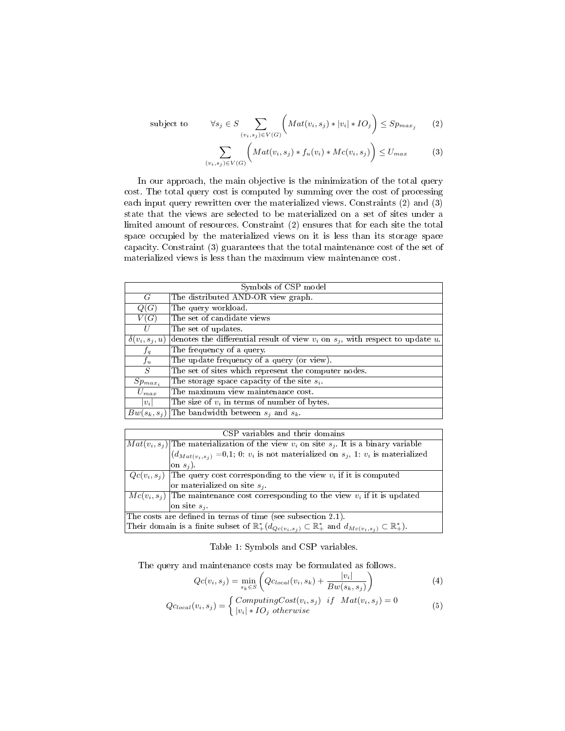subject to 
$$
\forall s_j \in S \sum_{(v_i, s_j) \in V(G)} \left( Mat(v_i, s_j) * |v_i| * IO_j \right) \leq Sp_{max_j} \qquad (2)
$$

$$
\sum_{(v_i, s_j) \in V(G)} \left( Mat(v_i, s_j) * f_u(v_i) * Mc(v_i, s_j) \right) \le U_{max} \tag{3}
$$

In our approach, the main objective is the minimization of the total query cost. The total query cost is computed by summing over the cost of processing each input query rewritten over the materialized views. Constraints (2) and (3) state that the views are selected to be materialized on a set of sites under a limited amount of resources. Constraint (2) ensures that for each site the total space occupied by the materialized views on it is less than its storage space capacity. Constraint (3) guarantees that the total maintenance cost of the set of materialized views is less than the maximum view maintenance cost.

| Symbols of CSP model |                                                                                    |
|----------------------|------------------------------------------------------------------------------------|
| G                    | The distributed AND-OR view graph.                                                 |
| Q(G)                 | The query workload.                                                                |
| V(G)                 | The set of candidate views                                                         |
| U                    | The set of updates.                                                                |
| $\delta(v_i,s_j,u)$  | denotes the differential result of view $v_i$ on $s_i$ , with respect to update u. |
| $f_q$                | The frequency of a query.                                                          |
| $f_u$                | The update frequency of a query (or view).                                         |
| S                    | The set of sites which represent the computer nodes.                               |
| $Sp_{max_i}$         | The storage space capacity of the site $s_i$ .                                     |
| $U_{max}$            | The maximum view maintenance cost.                                                 |
| $ v_i $              | The size of $v_i$ in terms of number of bytes.                                     |
| $Bw(s_k, s_j)$       | The bandwidth between $s_i$ and $s_k$ .                                            |

| CSP variables and their domains                                                                                                           |                                                                                                      |  |
|-------------------------------------------------------------------------------------------------------------------------------------------|------------------------------------------------------------------------------------------------------|--|
|                                                                                                                                           | $Mat(v_i, s_j)$ The materialization of the view $v_i$ on site $s_j$ . It is a binary variable        |  |
|                                                                                                                                           | $d_{Mat(v_i, s_j)} = 0,1; 0: v_i$ is not materialized on $s_j$ , 1: $v_i$ is materialized on $s_j$ . |  |
|                                                                                                                                           |                                                                                                      |  |
|                                                                                                                                           | $Qc(v_i, s_j)$ The query cost corresponding to the view $v_i$ if it is computed                      |  |
|                                                                                                                                           | or materialized on site $s_i$ .                                                                      |  |
|                                                                                                                                           | $Mc(v_i, s_j)$ The maintenance cost corresponding to the view $v_i$ if it is updated                 |  |
|                                                                                                                                           | on site $s_i$ .                                                                                      |  |
| The costs are defined in terms of time (see subsection 2.1).                                                                              |                                                                                                      |  |
| Their domain is a finite subset of $\mathbb{R}^*_+(d_{Qc(v_i,s_j)} \subset \mathbb{R}^*_+$ and $d_{Mc(v_i,s_j)} \subset \mathbb{R}^*_+$ . |                                                                                                      |  |

Table 1: Symbols and CSP variables.

The query and maintenance costs may be formulated as follows.

$$
Qc(v_i, s_j) = \min_{s_k \in S} \left( Qc_{local}(v_i, s_k) + \frac{|v_i|}{Bw(s_k, s_j)} \right)
$$
(4)

$$
Qc_{local}(v_i, s_j) = \begin{cases} ComputingCost(v_i, s_j) & if \ Mat(v_i, s_j) = 0\\ |v_i| * IO_j \ otherwise \end{cases}
$$
(5)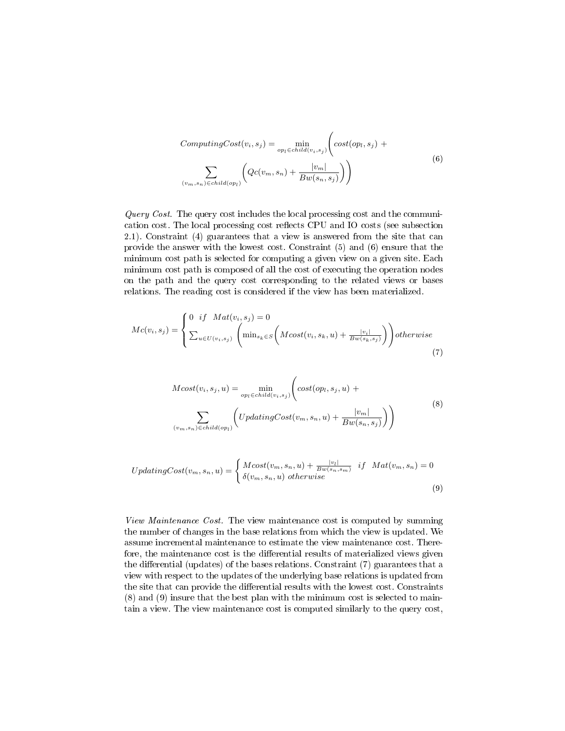ComputingCost
$$
(v_i, s_j)
$$
 =  $\min_{op_l \in child(v_i, s_j)} \left( cost(op_l, s_j) + \sum_{(v_m, s_n) \in child(op_l)} \left( QC(v_m, s_n) + \frac{|v_m|}{Bw(s_n, s_j)} \right) \right)$  (6)

Query Cost. The query cost includes the local processing cost and the communication cost. The local processing cost reflects CPU and IO costs (see subsection 2.1). Constraint (4) guarantees that a view is answered from the site that can provide the answer with the lowest cost. Constraint (5) and (6) ensure that the minimum cost path is selected for computing a given view on a given site. Each minimum cost path is composed of all the cost of executing the operation nodes on the path and the query cost corresponding to the related views or bases relations. The reading cost is considered if the view has been materialized.

$$
Mc(v_i, s_j) = \begin{cases} 0 & \text{if } Mat(v_i, s_j) = 0\\ \sum_{u \in U(v_i, s_j)} \left( \min_{s_k \in S} \left( Mcost(v_i, s_k, u) + \frac{|v_i|}{Bw(s_k, s_j)} \right) \right) otherwise \end{cases}
$$
(7)

$$
Mcost(v_i, s_j, u) = \min_{op_t \in child(v_i, s_j)} \left( cost(op_t, s_j, u) + \sum_{(v_m, s_n) \in child(op_t)} \left( UpdatingCost(v_m, s_n, u) + \frac{|v_m|}{Bw(s_n, s_j)} \right) \right)
$$
(8)

$$
Up datingCost(v_m, s_n, u) = \begin{cases} Mcost(v_m, s_n, u) + \frac{|v_l|}{Bw(s_n, s_m)} & \text{if } Mat(v_m, s_n) = 0\\ \delta(v_m, s_n, u) & \text{otherwise} \end{cases}
$$
(9)

View Maintenance Cost. The view maintenance cost is computed by summing the number of changes in the base relations from which the view is updated. We assume incremental maintenance to estimate the view maintenance cost. Therefore, the maintenance cost is the differential results of materialized views given the differential (updates) of the bases relations. Constraint  $(7)$  guarantees that a view with respect to the updates of the underlying base relations is updated from the site that can provide the differential results with the lowest cost. Constraints (8) and (9) insure that the best plan with the minimum cost is selected to maintain a view. The view maintenance cost is computed similarly to the query cost,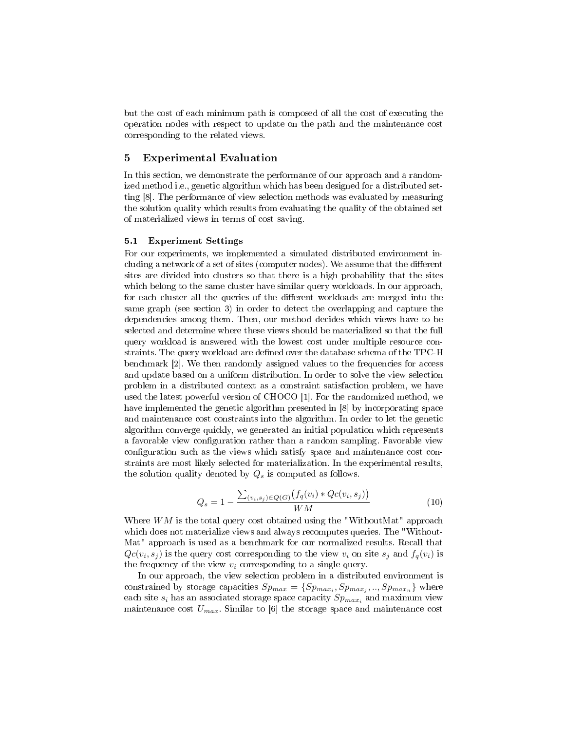but the cost of each minimum path is composed of all the cost of executing the operation nodes with respect to update on the path and the maintenance cost corresponding to the related views.

## 5 Experimental Evaluation

In this section, we demonstrate the performance of our approach and a randomized method i.e., genetic algorithm which has been designed for a distributed setting [8]. The performance of view selection methods was evaluated by measuring the solution quality which results from evaluating the quality of the obtained set of materialized views in terms of cost saving.

#### 5.1 Experiment Settings

For our experiments, we implemented a simulated distributed environment including a network of a set of sites (computer nodes). We assume that the different sites are divided into clusters so that there is a high probability that the sites which belong to the same cluster have similar query workloads. In our approach, for each cluster all the queries of the different workloads are merged into the same graph (see section 3) in order to detect the overlapping and capture the dependencies among them. Then, our method decides which views have to be selected and determine where these views should be materialized so that the full query workload is answered with the lowest cost under multiple resource constraints. The query workload are defined over the database schema of the TPC-H benchmark [2]. We then randomly assigned values to the frequencies for access and update based on a uniform distribution. In order to solve the view selection problem in a distributed context as a constraint satisfaction problem, we have used the latest powerful version of CHOCO [1]. For the randomized method, we have implemented the genetic algorithm presented in [8] by incorporating space and maintenance cost constraints into the algorithm. In order to let the genetic algorithm converge quickly, we generated an initial population which represents a favorable view configuration rather than a random sampling. Favorable view configuration such as the views which satisfy space and maintenance cost constraints are most likely selected for materialization. In the experimental results, the solution quality denoted by  $Q_s$  is computed as follows.

$$
Q_s = 1 - \frac{\sum_{(v_i, s_j) \in Q(G)} (f_q(v_i) * Qc(v_i, s_j))}{WM}
$$
\n(10)

Where  $WM$  is the total query cost obtained using the "WithoutMat" approach which does not materialize views and always recomputes queries. The "Without-Mat" approach is used as a benchmark for our normalized results. Recall that  $Qc(v_i,s_j)$  is the query cost corresponding to the view  $v_i$  on site  $s_j$  and  $f_q(v_i)$  is the frequency of the view  $v_i$  corresponding to a single query.

In our approach, the view selection problem in a distributed environment is constrained by storage capacities  $Sp_{max} = \{Sp_{max_i}, Sp_{max_j},...,Sp_{max_n}\}\$  where each site  $s_i$  has an associated storage space capacity  $Sp_{max_i}$  and maximum view maintenance cost  $U_{max}$ . Similar to [6] the storage space and maintenance cost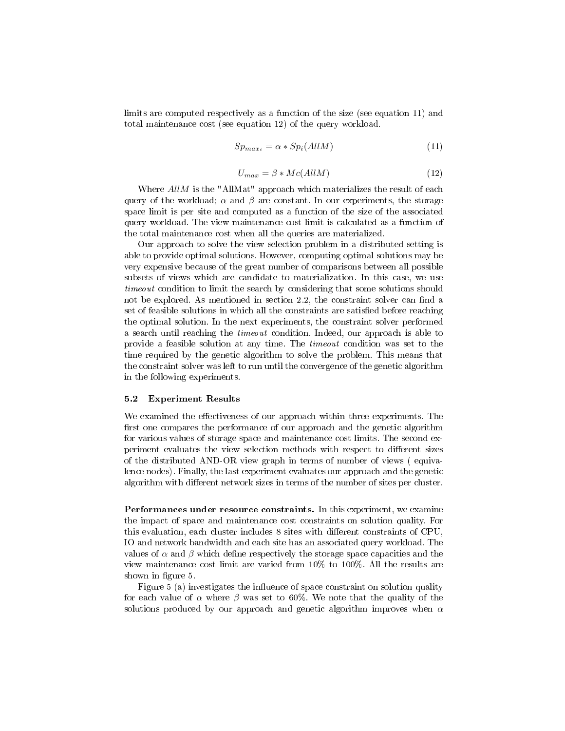limits are computed respectively as a function of the size (see equation 11) and total maintenance cost (see equation 12) of the query workload.

$$
Sp_{max_i} = \alpha * Sp_i(AllM) \tag{11}
$$

$$
U_{max} = \beta * Mc(AllM)
$$
 (12)

Where AllM is the "AllMat" approach which materializes the result of each query of the workload;  $\alpha$  and  $\beta$  are constant. In our experiments, the storage space limit is per site and computed as a function of the size of the associated query workload. The view maintenance cost limit is calculated as a function of the total maintenance cost when all the queries are materialized.

Our approach to solve the view selection problem in a distributed setting is able to provide optimal solutions. However, computing optimal solutions may be very expensive because of the great number of comparisons between all possible subsets of views which are candidate to materialization. In this case, we use timeout condition to limit the search by considering that some solutions should not be explored. As mentioned in section 2.2, the constraint solver can find a set of feasible solutions in which all the constraints are satisfied before reaching the optimal solution. In the next experiments, the constraint solver performed a search until reaching the timeout condition. Indeed, our approach is able to provide a feasible solution at any time. The timeout condition was set to the time required by the genetic algorithm to solve the problem. This means that the constraint solver was left to run until the convergence of the genetic algorithm in the following experiments.

#### 5.2 Experiment Results

We examined the effectiveness of our approach within three experiments. The first one compares the performance of our approach and the genetic algorithm for various values of storage space and maintenance cost limits. The second experiment evaluates the view selection methods with respect to different sizes of the distributed AND-OR view graph in terms of number of views ( equivalence nodes). Finally, the last experiment evaluates our approach and the genetic algorithm with different network sizes in terms of the number of sites per cluster.

Performances under resource constraints. In this experiment, we examine the impact of space and maintenance cost constraints on solution quality. For this evaluation, each cluster includes 8 sites with different constraints of CPU, IO and network bandwidth and each site has an associated query workload. The values of  $\alpha$  and  $\beta$  which define respectively the storage space capacities and the view maintenance cost limit are varied from 10% to 100%. All the results are shown in figure 5.

Figure 5 (a) investigates the influence of space constraint on solution quality for each value of  $\alpha$  where  $\beta$  was set to 60%. We note that the quality of the solutions produced by our approach and genetic algorithm improves when  $\alpha$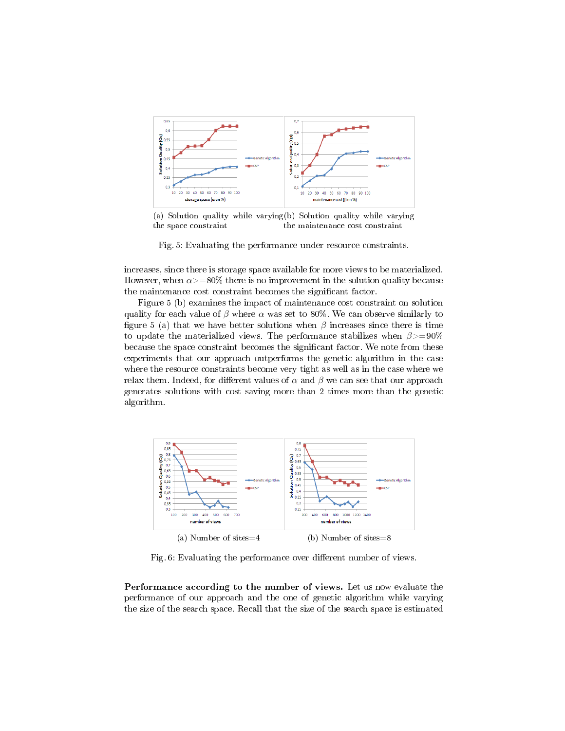

(a) Solution quality while varying (b) Solution quality while varying the space constraint the maintenance cost constraint

Fig. 5: Evaluating the performance under resource constraints.

increases, since there is storage space available for more views to be materialized. However, when  $\alpha$  = 80% there is no improvement in the solution quality because the maintenance cost constraint becomes the significant factor.

Figure 5 (b) examines the impact of maintenance cost constraint on solution quality for each value of  $\beta$  where  $\alpha$  was set to 80%. We can observe similarly to figure 5 (a) that we have better solutions when  $\beta$  increases since there is time to update the materialized views. The performance stabilizes when  $\beta$  > = 90% because the space constraint becomes the significant factor. We note from these experiments that our approach outperforms the genetic algorithm in the case where the resource constraints become very tight as well as in the case where we relax them. Indeed, for different values of  $\alpha$  and  $\beta$  we can see that our approach generates solutions with cost saving more than 2 times more than the genetic algorithm.



Fig. 6: Evaluating the performance over different number of views.

Performance according to the number of views. Let us now evaluate the performance of our approach and the one of genetic algorithm while varying the size of the search space. Recall that the size of the search space is estimated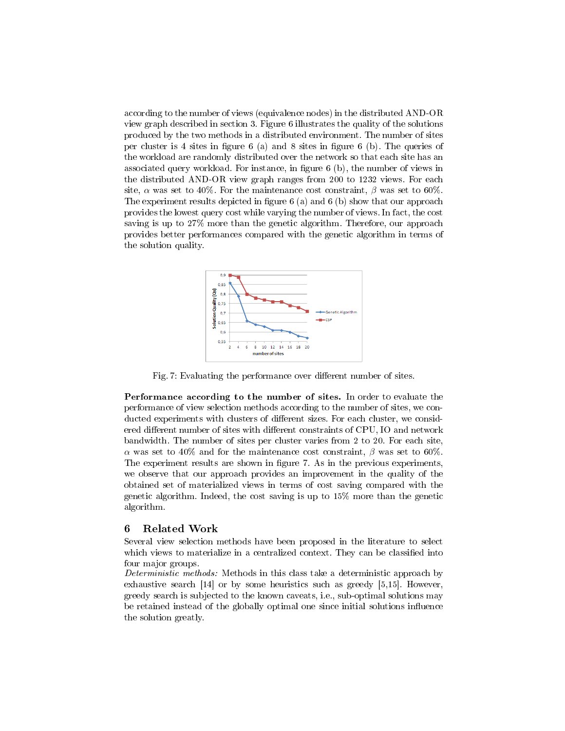according to the number of views (equivalence nodes) in the distributed AND-OR view graph described in section 3. Figure 6 illustrates the quality of the solutions produced by the two methods in a distributed environment. The number of sites per cluster is 4 sites in figure 6 (a) and 8 sites in figure 6 (b). The queries of the workload are randomly distributed over the network so that each site has an associated query workload. For instance, in figure  $6$  (b), the number of views in the distributed AND-OR view graph ranges from 200 to 1232 views. For each site,  $\alpha$  was set to 40%. For the maintenance cost constraint,  $\beta$  was set to 60%. The experiment results depicted in figure  $6$  (a) and  $6$  (b) show that our approach provides the lowest query cost while varying the number of views. In fact, the cost saving is up to 27% more than the genetic algorithm. Therefore, our approach provides better performances compared with the genetic algorithm in terms of the solution quality.



Fig. 7: Evaluating the performance over different number of sites.

Performance according to the number of sites. In order to evaluate the performance of view selection methods according to the number of sites, we conducted experiments with clusters of different sizes. For each cluster, we considered different number of sites with different constraints of CPU, IO and network bandwidth. The number of sites per cluster varies from 2 to 20. For each site, α was set to 40% and for the maintenance cost constraint,  $β$  was set to 60%. The experiment results are shown in figure 7. As in the previous experiments, we observe that our approach provides an improvement in the quality of the obtained set of materialized views in terms of cost saving compared with the genetic algorithm. Indeed, the cost saving is up to  $15\%$  more than the genetic algorithm.

#### 6 Related Work

Several view selection methods have been proposed in the literature to select which views to materialize in a centralized context. They can be classified into four major groups.

Deterministic methods: Methods in this class take a deterministic approach by exhaustive search [14] or by some heuristics such as greedy [5,15]. However, greedy search is subjected to the known caveats, i.e., sub-optimal solutions may be retained instead of the globally optimal one since initial solutions influence the solution greatly.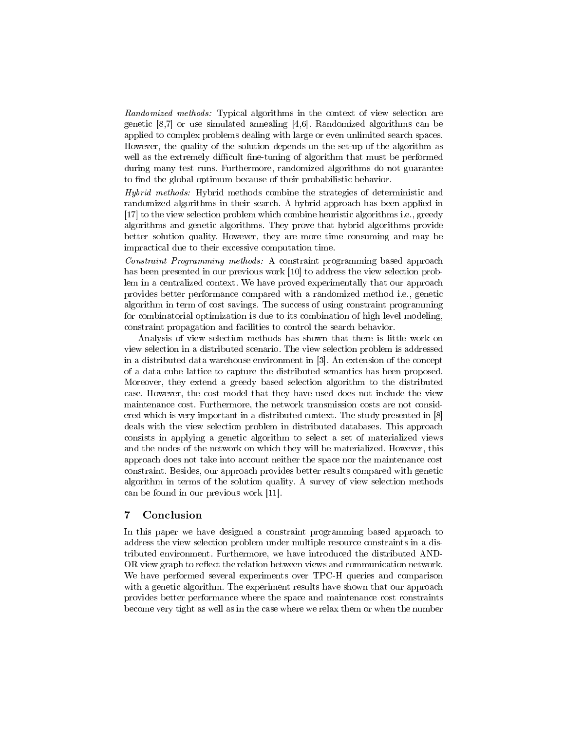Randomized methods: Typical algorithms in the context of view selection are genetic [8,7] or use simulated annealing [4,6]. Randomized algorithms can be applied to complex problems dealing with large or even unlimited search spaces. However, the quality of the solution depends on the set-up of the algorithm as well as the extremely difficult fine-tuning of algorithm that must be performed during many test runs. Furthermore, randomized algorithms do not guarantee to find the global optimum because of their probabilistic behavior.

Hybrid methods: Hybrid methods combine the strategies of deterministic and randomized algorithms in their search. A hybrid approach has been applied in [17] to the view selection problem which combine heuristic algorithms i.e., greedy algorithms and genetic algorithms. They prove that hybrid algorithms provide better solution quality. However, they are more time consuming and may be impractical due to their excessive computation time.

Constraint Programming methods: A constraint programming based approach has been presented in our previous work [10] to address the view selection problem in a centralized context. We have proved experimentally that our approach provides better performance compared with a randomized method i.e., genetic algorithm in term of cost savings. The success of using constraint programming for combinatorial optimization is due to its combination of high level modeling, constraint propagation and facilities to control the search behavior.

Analysis of view selection methods has shown that there is little work on view selection in a distributed scenario. The view selection problem is addressed in a distributed data warehouse environment in [3]. An extension of the concept of a data cube lattice to capture the distributed semantics has been proposed. Moreover, they extend a greedy based selection algorithm to the distributed case. However, the cost model that they have used does not include the view maintenance cost. Furthermore, the network transmission costs are not considered which is very important in a distributed context. The study presented in [8] deals with the view selection problem in distributed databases. This approach consists in applying a genetic algorithm to select a set of materialized views and the nodes of the network on which they will be materialized. However, this approach does not take into account neither the space nor the maintenance cost constraint. Besides, our approach provides better results compared with genetic algorithm in terms of the solution quality. A survey of view selection methods can be found in our previous work [11].

### 7 Conclusion

In this paper we have designed a constraint programming based approach to address the view selection problem under multiple resource constraints in a distributed environment. Furthermore, we have introduced the distributed AND-OR view graph to reflect the relation between views and communication network. We have performed several experiments over TPC-H queries and comparison with a genetic algorithm. The experiment results have shown that our approach provides better performance where the space and maintenance cost constraints become very tight as well as in the case where we relax them or when the number